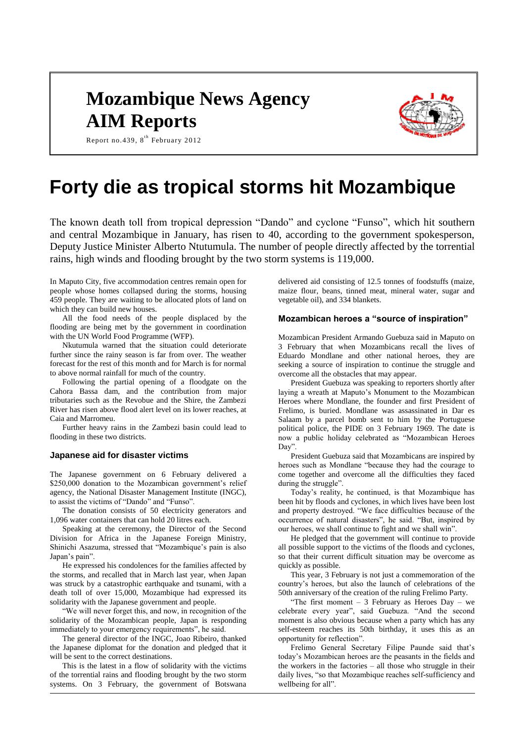## **Mozambique News Agency AIM Reports**



Report no. 439,  $8^{th}$  February 2012

# **Forty die as tropical storms hit Mozambique**

The known death toll from tropical depression "Dando" and cyclone "Funso", which hit southern and central Mozambique in January, has risen to 40, according to the government spokesperson, Deputy Justice Minister Alberto Ntutumula. The number of people directly affected by the torrential rains, high winds and flooding brought by the two storm systems is 119,000.

In Maputo City, five accommodation centres remain open for people whose homes collapsed during the storms, housing 459 people. They are waiting to be allocated plots of land on which they can build new houses.

All the food needs of the people displaced by the flooding are being met by the government in coordination with the UN World Food Programme (WFP).

Nkutumula warned that the situation could deteriorate further since the rainy season is far from over. The weather forecast for the rest of this month and for March is for normal to above normal rainfall for much of the country.

Following the partial opening of a floodgate on the Cahora Bassa dam, and the contribution from major tributaries such as the Revobue and the Shire, the Zambezi River has risen above flood alert level on its lower reaches, at Caia and Marromeu.

Further heavy rains in the Zambezi basin could lead to flooding in these two districts.

### **Japanese aid for disaster victims**

The Japanese government on 6 February delivered a \$250,000 donation to the Mozambican government's relief agency, the National Disaster Management Institute (INGC), to assist the victims of "Dando" and "Funso".

The donation consists of 50 electricity generators and 1,096 water containers that can hold 20 litres each.

Speaking at the ceremony, the Director of the Second Division for Africa in the Japanese Foreign Ministry, Shinichi Asazuma, stressed that "Mozambique's pain is also Japan's pain".

He expressed his condolences for the families affected by the storms, and recalled that in March last year, when Japan was struck by a catastrophic earthquake and tsunami, with a death toll of over 15,000, Mozambique had expressed its solidarity with the Japanese government and people.

"We will never forget this, and now, in recognition of the solidarity of the Mozambican people, Japan is responding immediately to your emergency requirements", he said.

The general director of the INGC, Joao Ribeiro, thanked the Japanese diplomat for the donation and pledged that it will be sent to the correct destinations.

This is the latest in a flow of solidarity with the victims of the torrential rains and flooding brought by the two storm systems. On 3 February, the government of Botswana

delivered aid consisting of 12.5 tonnes of foodstuffs (maize, maize flour, beans, tinned meat, mineral water, sugar and vegetable oil), and 334 blankets.

#### **Mozambican heroes a "source of inspiration"**

Mozambican President Armando Guebuza said in Maputo on 3 February that when Mozambicans recall the lives of Eduardo Mondlane and other national heroes, they are seeking a source of inspiration to continue the struggle and overcome all the obstacles that may appear.

President Guebuza was speaking to reporters shortly after laying a wreath at Maputo's Monument to the Mozambican Heroes where Mondlane, the founder and first President of Frelimo, is buried. Mondlane was assassinated in Dar es Salaam by a parcel bomb sent to him by the Portuguese political police, the PIDE on 3 February 1969. The date is now a public holiday celebrated as "Mozambican Heroes Day".

President Guebuza said that Mozambicans are inspired by heroes such as Mondlane "because they had the courage to come together and overcome all the difficulties they faced during the struggle".

Today's reality, he continued, is that Mozambique has been hit by floods and cyclones, in which lives have been lost and property destroyed. "We face difficulties because of the occurrence of natural disasters", he said. "But, inspired by our heroes, we shall continue to fight and we shall win".

He pledged that the government will continue to provide all possible support to the victims of the floods and cyclones, so that their current difficult situation may be overcome as quickly as possible.

This year, 3 February is not just a commemoration of the country's heroes, but also the launch of celebrations of the 50th anniversary of the creation of the ruling Frelimo Party.

"The first moment  $-3$  February as Heroes Day  $-$  we celebrate every year", said Guebuza. "And the second moment is also obvious because when a party which has any self-esteem reaches its 50th birthday, it uses this as an opportunity for reflection".

Frelimo General Secretary Filipe Paunde said that's today's Mozambican heroes are the peasants in the fields and the workers in the factories – all those who struggle in their daily lives, "so that Mozambique reaches self-sufficiency and wellbeing for all".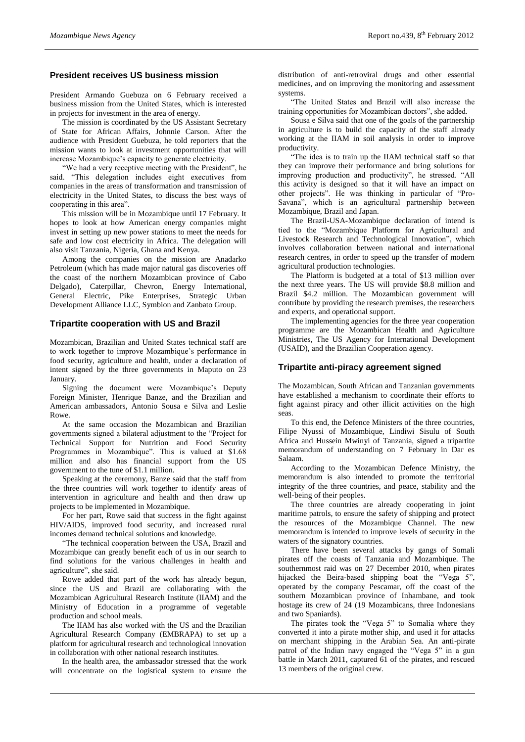## **President receives US business mission**

President Armando Guebuza on 6 February received a business mission from the United States, which is interested in projects for investment in the area of energy.

The mission is coordinated by the US Assistant Secretary of State for African Affairs, Johnnie Carson. After the audience with President Guebuza, he told reporters that the mission wants to look at investment opportunities that will increase Mozambique's capacity to generate electricity.

"We had a very receptive meeting with the President", he said. "This delegation includes eight executives from companies in the areas of transformation and transmission of electricity in the United States, to discuss the best ways of cooperating in this area".

This mission will be in Mozambique until 17 February. It hopes to look at how American energy companies might invest in setting up new power stations to meet the needs for safe and low cost electricity in Africa. The delegation will also visit Tanzania, Nigeria, Ghana and Kenya.

Among the companies on the mission are Anadarko Petroleum (which has made major natural gas discoveries off the coast of the northern Mozambican province of Cabo Delgado), Caterpillar, Chevron, Energy International, General Electric, Pike Enterprises, Strategic Urban Development Alliance LLC, Symbion and Zanbato Group.

## **Tripartite cooperation with US and Brazil**

Mozambican, Brazilian and United States technical staff are to work together to improve Mozambique's performance in food security, agriculture and health, under a declaration of intent signed by the three governments in Maputo on 23 January.

Signing the document were Mozambique's Deputy Foreign Minister, Henrique Banze, and the Brazilian and American ambassadors, Antonio Sousa e Silva and Leslie Rowe.

At the same occasion the Mozambican and Brazilian governments signed a bilateral adjustment to the "Project for Technical Support for Nutrition and Food Security Programmes in Mozambique". This is valued at \$1.68 million and also has financial support from the US government to the tune of \$1.1 million.

Speaking at the ceremony, Banze said that the staff from the three countries will work together to identify areas of intervention in agriculture and health and then draw up projects to be implemented in Mozambique.

For her part, Rowe said that success in the fight against HIV/AIDS, improved food security, and increased rural incomes demand technical solutions and knowledge.

"The technical cooperation between the USA, Brazil and Mozambique can greatly benefit each of us in our search to find solutions for the various challenges in health and agriculture", she said.

Rowe added that part of the work has already begun, since the US and Brazil are collaborating with the Mozambican Agricultural Research Institute (IIAM) and the Ministry of Education in a programme of vegetable production and school meals.

The IIAM has also worked with the US and the Brazilian Agricultural Research Company (EMBRAPA) to set up a platform for agricultural research and technological innovation in collaboration with other national research institutes.

In the health area, the ambassador stressed that the work will concentrate on the logistical system to ensure the distribution of anti-retroviral drugs and other essential medicines, and on improving the monitoring and assessment systems.

"The United States and Brazil will also increase the training opportunities for Mozambican doctors", she added.

Sousa e Silva said that one of the goals of the partnership in agriculture is to build the capacity of the staff already working at the IIAM in soil analysis in order to improve productivity.

"The idea is to train up the IIAM technical staff so that they can improve their performance and bring solutions for improving production and productivity", he stressed. "All this activity is designed so that it will have an impact on other projects". He was thinking in particular of "Pro-Savana", which is an agricultural partnership between Mozambique, Brazil and Japan.

The Brazil-USA-Mozambique declaration of intend is tied to the "Mozambique Platform for Agricultural and Livestock Research and Technological Innovation", which involves collaboration between national and international research centres, in order to speed up the transfer of modern agricultural production technologies.

The Platform is budgeted at a total of \$13 million over the next three years. The US will provide \$8.8 million and Brazil \$4.2 million. The Mozambican government will contribute by providing the research premises, the researchers and experts, and operational support.

The implementing agencies for the three year cooperation programme are the Mozambican Health and Agriculture Ministries, The US Agency for International Development (USAID), and the Brazilian Cooperation agency.

## **Tripartite anti-piracy agreement signed**

The Mozambican, South African and Tanzanian governments have established a mechanism to coordinate their efforts to fight against piracy and other illicit activities on the high seas.

To this end, the Defence Ministers of the three countries, Filipe Nyussi of Mozambique, Lindiwi Sisulu of South Africa and Hussein Mwinyi of Tanzania, signed a tripartite memorandum of understanding on 7 February in Dar es Salaam.

According to the Mozambican Defence Ministry, the memorandum is also intended to promote the territorial integrity of the three countries, and peace, stability and the well-being of their peoples.

The three countries are already cooperating in joint maritime patrols, to ensure the safety of shipping and protect the resources of the Mozambique Channel. The new memorandum is intended to improve levels of security in the waters of the signatory countries.

There have been several attacks by gangs of Somali pirates off the coasts of Tanzania and Mozambique. The southernmost raid was on 27 December 2010, when pirates hijacked the Beira-based shipping boat the "Vega 5", operated by the company Pescamar, off the coast of the southern Mozambican province of Inhambane, and took hostage its crew of 24 (19 Mozambicans, three Indonesians and two Spaniards).

The pirates took the "Vega 5" to Somalia where they converted it into a pirate mother ship, and used it for attacks on merchant shipping in the Arabian Sea. An anti-pirate patrol of the Indian navy engaged the "Vega 5" in a gun battle in March 2011, captured 61 of the pirates, and rescued 13 members of the original crew.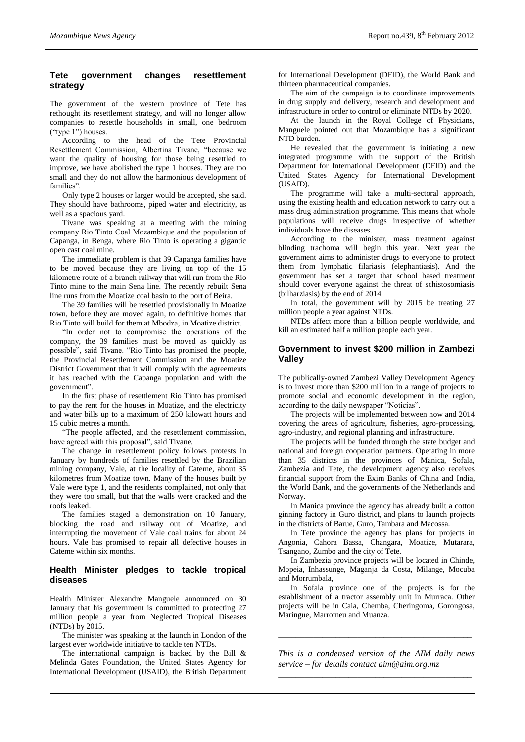## **Tete government changes resettlement strategy**

The government of the western province of Tete has rethought its resettlement strategy, and will no longer allow companies to resettle households in small, one bedroom ("type 1") houses.

According to the head of the Tete Provincial Resettlement Commission, Albertina Tivane, "because we want the quality of housing for those being resettled to improve, we have abolished the type 1 houses. They are too small and they do not allow the harmonious development of families".

Only type 2 houses or larger would be accepted, she said. They should have bathrooms, piped water and electricity, as well as a spacious yard.

Tivane was speaking at a meeting with the mining company Rio Tinto Coal Mozambique and the population of Capanga, in Benga, where Rio Tinto is operating a gigantic open cast coal mine.

The immediate problem is that 39 Capanga families have to be moved because they are living on top of the 15 kilometre route of a branch railway that will run from the Rio Tinto mine to the main Sena line. The recently rebuilt Sena line runs from the Moatize coal basin to the port of Beira.

The 39 families will be resettled provisionally in Moatize town, before they are moved again, to definitive homes that Rio Tinto will build for them at Mbodza, in Moatize district.

"In order not to compromise the operations of the company, the 39 families must be moved as quickly as possible", said Tivane. "Rio Tinto has promised the people, the Provincial Resettlement Commission and the Moatize District Government that it will comply with the agreements it has reached with the Capanga population and with the government".

In the first phase of resettlement Rio Tinto has promised to pay the rent for the houses in Moatize, and the electricity and water bills up to a maximum of 250 kilowatt hours and 15 cubic metres a month.

"The people affected, and the resettlement commission, have agreed with this proposal", said Tivane.

The change in resettlement policy follows protests in January by hundreds of families resettled by the Brazilian mining company, Vale, at the locality of Cateme, about 35 kilometres from Moatize town. Many of the houses built by Vale were type 1, and the residents complained, not only that they were too small, but that the walls were cracked and the roofs leaked.

The families staged a demonstration on 10 January, blocking the road and railway out of Moatize, and interrupting the movement of Vale coal trains for about 24 hours. Vale has promised to repair all defective houses in Cateme within six months.

## **Health Minister pledges to tackle tropical diseases**

Health Minister Alexandre Manguele announced on 30 January that his government is committed to protecting 27 million people a year from Neglected Tropical Diseases (NTDs) by 2015.

The minister was speaking at the launch in London of the largest ever worldwide initiative to tackle ten NTDs.

The international campaign is backed by the Bill  $\&$ Melinda Gates Foundation, the United States Agency for International Development (USAID), the British Department for International Development (DFID), the World Bank and thirteen pharmaceutical companies.

The aim of the campaign is to coordinate improvements in drug supply and delivery, research and development and infrastructure in order to control or eliminate NTDs by 2020.

At the launch in the Royal College of Physicians, Manguele pointed out that Mozambique has a significant NTD burden.

He revealed that the government is initiating a new integrated programme with the support of the British Department for International Development (DFID) and the United States Agency for International Development (USAID).

The programme will take a multi-sectoral approach, using the existing health and education network to carry out a mass drug administration programme. This means that whole populations will receive drugs irrespective of whether individuals have the diseases.

According to the minister, mass treatment against blinding trachoma will begin this year. Next year the government aims to administer drugs to everyone to protect them from lymphatic filariasis (elephantiasis). And the government has set a target that school based treatment should cover everyone against the threat of schistosomiasis (bilharziasis) by the end of 2014.

In total, the government will by 2015 be treating 27 million people a year against NTDs.

NTDs affect more than a billion people worldwide, and kill an estimated half a million people each year.

## **Government to invest \$200 million in Zambezi Valley**

The publically-owned Zambezi Valley Development Agency is to invest more than \$200 million in a range of projects to promote social and economic development in the region, according to the daily newspaper "Noticias".

The projects will be implemented between now and 2014 covering the areas of agriculture, fisheries, agro-processing, agro-industry, and regional planning and infrastructure.

The projects will be funded through the state budget and national and foreign cooperation partners. Operating in more than 35 districts in the provinces of Manica, Sofala, Zambezia and Tete, the development agency also receives financial support from the Exim Banks of China and India, the World Bank, and the governments of the Netherlands and Norway.

In Manica province the agency has already built a cotton ginning factory in Guro district, and plans to launch projects in the districts of Barue, Guro, Tambara and Macossa.

In Tete province the agency has plans for projects in Angonia, Cahora Bassa, Changara, Moatize, Mutarara, Tsangano, Zumbo and the city of Tete.

In Zambezia province projects will be located in Chinde, Mopeia, Inhassunge, Maganja da Costa, Milange, Mocuba and Morrumbala,

In Sofala province one of the projects is for the establishment of a tractor assembly unit in Murraca. Other projects will be in Caia, Chemba, Cheringoma, Gorongosa, Maringue, Marromeu and Muanza.

*This is a condensed version of the AIM daily news service – for details contact [aim@aim.org.mz](mailto:aim@aim.org.mz) \_\_\_\_\_\_\_\_\_\_\_\_\_\_\_\_\_\_\_\_\_\_\_\_\_\_\_\_\_\_\_\_\_\_\_\_\_\_\_\_\_\_\_\_*

*\_\_\_\_\_\_\_\_\_\_\_\_\_\_\_\_\_\_\_\_\_\_\_\_\_\_\_\_\_\_\_\_\_\_\_\_\_\_\_\_\_\_\_\_*